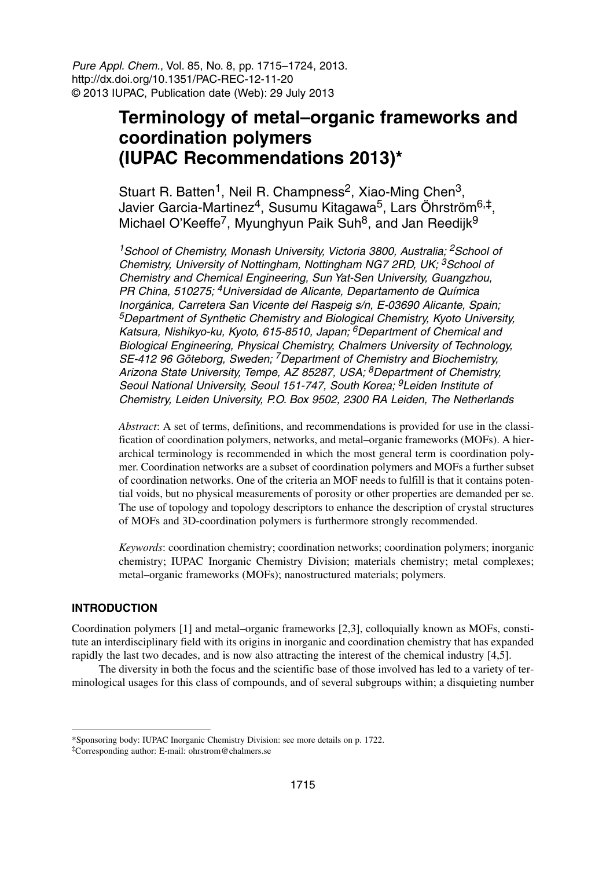Pure Appl. Chem., Vol. 85, No. 8, pp. 1715–1724, 2013. http://dx.doi.org/10.1351/PAC-REC-12-11-20 © 2013 IUPAC, Publication date (Web): 29 July 2013

# **Terminology of metal–organic frameworks and coordination polymers (IUPAC Recommendations 2013)\***

Stuart R. Batten<sup>1</sup>, Neil R. Champness<sup>2</sup>, Xiao-Ming Chen<sup>3</sup>, Javier Garcia-Martinez<sup>4</sup>, Susumu Kitagawa<sup>5</sup>, Lars Öhrström<sup>6,‡</sup>, Michael O'Keeffe<sup>7</sup>, Myunghyun Paik Suh<sup>8</sup>, and Jan Reedijk<sup>9</sup>

<sup>1</sup>School of Chemistry, Monash University, Victoria 3800, Australia; <sup>2</sup>School of Chemistry, University of Nottingham, Nottingham NG7 2RD, UK; <sup>3</sup>School of Chemistry and Chemical Engineering, Sun Yat-Sen University, Guangzhou, PR China, 510275; <sup>4</sup>Universidad de Alicante, Departamento de Química Inorgánica, Carretera San Vicente del Raspeig s/n, E-03690 Alicante, Spain; <sup>5</sup>Department of Synthetic Chemistry and Biological Chemistry, Kyoto University, Katsura, Nishikyo-ku, Kyoto, 615-8510, Japan; <sup>6</sup>Department of Chemical and Biological Engineering, Physical Chemistry, Chalmers University of Technology, SE-412 96 Göteborg, Sweden; <sup>7</sup>Department of Chemistry and Biochemistry, Arizona State University, Tempe, AZ 85287, USA; <sup>8</sup>Department of Chemistry, Seoul National University, Seoul 151-747, South Korea; <sup>9</sup>Leiden Institute of Chemistry, Leiden University, P.O. Box 9502, 2300 RA Leiden, The Netherlands

*Abstract*: A set of terms, definitions, and recommendations is provided for use in the classification of coordination polymers, networks, and metal–organic frameworks (MOFs). A hierarchical terminology is recommended in which the most general term is coordination polymer. Coordination networks are a subset of coordination polymers and MOFs a further subset of coordination networks. One of the criteria an MOF needs to fulfill is that it contains potential voids, but no physical measurements of porosity or other properties are demanded per se. The use of topology and topology descriptors to enhance the description of crystal structures of MOFs and 3D-coordination polymers is furthermore strongly recommended.

*Keywords*: coordination chemistry; coordination networks; coordination polymers; inorganic chemistry; IUPAC Inorganic Chemistry Division; materials chemistry; metal complexes; metal–organic frameworks (MOFs); nanostructured materials; polymers.

#### **INTRODUCTION**

Coordination polymers [1] and metal–organic frameworks [2,3], colloquially known as MOFs, constitute an interdisciplinary field with its origins in inorganic and coordination chemistry that has expanded rapidly the last two decades, and is now also attracting the interest of the chemical industry [4,5].

The diversity in both the focus and the scientific base of those involved has led to a variety of terminological usages for this class of compounds, and of several subgroups within; a disquieting number

<sup>\*</sup>Sponsoring body: IUPAC Inorganic Chemistry Division: see more details on p. 1722.

<sup>‡</sup>Corresponding author: E-mail: ohrstrom@chalmers.se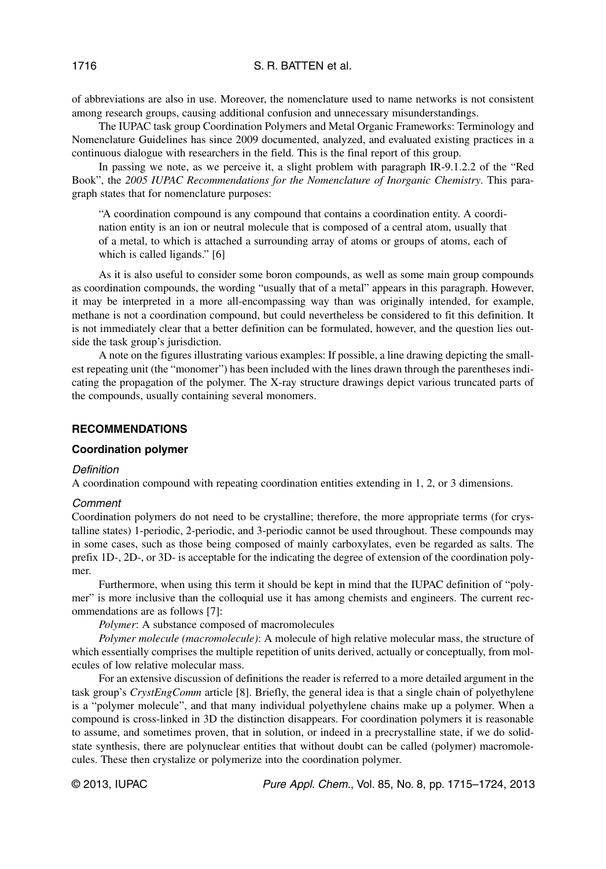of abbreviations are also in use. Moreover, the nomenclature used to name networks is not consistent among research groups, causing additional confusion and unnecessary misunderstandings.

The IUPAC task group Coordination Polymers and Metal Organic Frameworks: Terminology and Nomenclature Guidelines has since 2009 documented, analyzed, and evaluated existing practices in a continuous dialogue with researchers in the field. This is the final report of this group.

In passing we note, as we perceive it, a slight problem with paragraph IR-9.1.2.2 of the "Red Book", the *2005 IUPAC Recommendations for the Nomenclature of Inorganic Chemistry*. This paragraph states that for nomenclature purposes:

"A coordination compound is any compound that contains a coordination entity. A coordination entity is an ion or neutral molecule that is composed of a central atom, usually that of a metal, to which is attached a surrounding array of atoms or groups of atoms, each of which is called ligands." [6]

As it is also useful to consider some boron compounds, as well as some main group compounds as coordination compounds, the wording "usually that of a metal" appears in this paragraph. However, it may be interpreted in a more all-encompassing way than was originally intended, for example, methane is not a coordination compound, but could nevertheless be considered to fit this definition. It is not immediately clear that a better definition can be formulated, however, and the question lies outside the task group's jurisdiction.

A note on the figures illustrating various examples: If possible, a line drawing depicting the smallest repeating unit (the "monomer") has been included with the lines drawn through the parentheses indicating the propagation of the polymer. The X-ray structure drawings depict various truncated parts of the compounds, usually containing several monomers.

#### **RECOMMENDATIONS**

#### **Coordination polymer**

#### **Definition**

A coordination compound with repeating coordination entities extending in 1, 2, or 3 dimensions.

#### Comment

Coordination polymers do not need to be crystalline; therefore, the more appropriate terms (for crystalline states) 1-periodic, 2-periodic, and 3-periodic cannot be used throughout. These compounds may in some cases, such as those being composed of mainly carboxylates, even be regarded as salts. The prefix 1D-, 2D-, or 3D- is acceptable for the indicating the degree of extension of the coordination polymer.

Furthermore, when using this term it should be kept in mind that the IUPAC definition of "polymer" is more inclusive than the colloquial use it has among chemists and engineers. The current recommendations are as follows [7]:

*Polymer*: A substance composed of macromolecules

*Polymer molecule (macromolecule)*: A molecule of high relative molecular mass, the structure of which essentially comprises the multiple repetition of units derived, actually or conceptually, from molecules of low relative molecular mass.

For an extensive discussion of definitions the reader is referred to a more detailed argument in the task group's *CrystEngComm* article [8]. Briefly, the general idea is that a single chain of polyethylene is a "polymer molecule", and that many individual polyethylene chains make up a polymer. When a compound is cross-linked in 3D the distinction disappears. For coordination polymers it is reasonable to assume, and sometimes proven, that in solution, or indeed in a precrystalline state, if we do solidstate synthesis, there are polynuclear entities that without doubt can be called (polymer) macromolecules. These then crystalize or polymerize into the coordination polymer.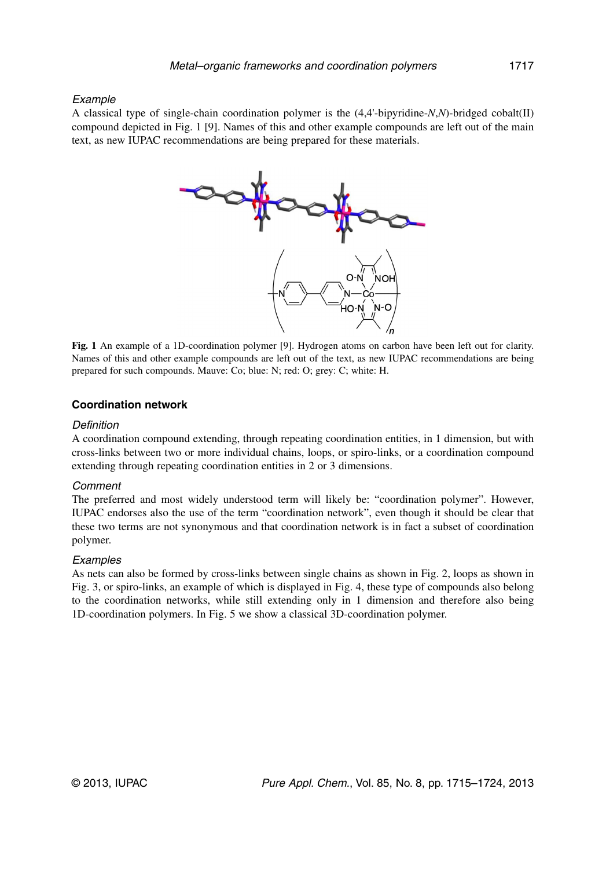## Example

A classical type of single-chain coordination polymer is the (4,4'-bipyridine-*N*,*N*)-bridged cobalt(II) compound depicted in Fig. 1 [9]. Names of this and other example compounds are left out of the main text, as new IUPAC recommendations are being prepared for these materials.



**Fig. 1** An example of a 1D-coordination polymer [9]. Hydrogen atoms on carbon have been left out for clarity. Names of this and other example compounds are left out of the text, as new IUPAC recommendations are being prepared for such compounds. Mauve: Co; blue: N; red: O; grey: C; white: H.

## **Coordination network**

#### Definition

A coordination compound extending, through repeating coordination entities, in 1 dimension, but with cross-links between two or more individual chains, loops, or spiro-links, or a coordination compound extending through repeating coordination entities in 2 or 3 dimensions.

#### Comment

The preferred and most widely understood term will likely be: "coordination polymer". However, IUPAC endorses also the use of the term "coordination network", even though it should be clear that these two terms are not synonymous and that coordination network is in fact a subset of coordination polymer.

#### Examples

As nets can also be formed by cross-links between single chains as shown in Fig. 2, loops as shown in Fig. 3, or spiro-links, an example of which is displayed in Fig. 4, these type of compounds also belong to the coordination networks, while still extending only in 1 dimension and therefore also being 1D-coordination polymers. In Fig. 5 we show a classical 3D-coordination polymer.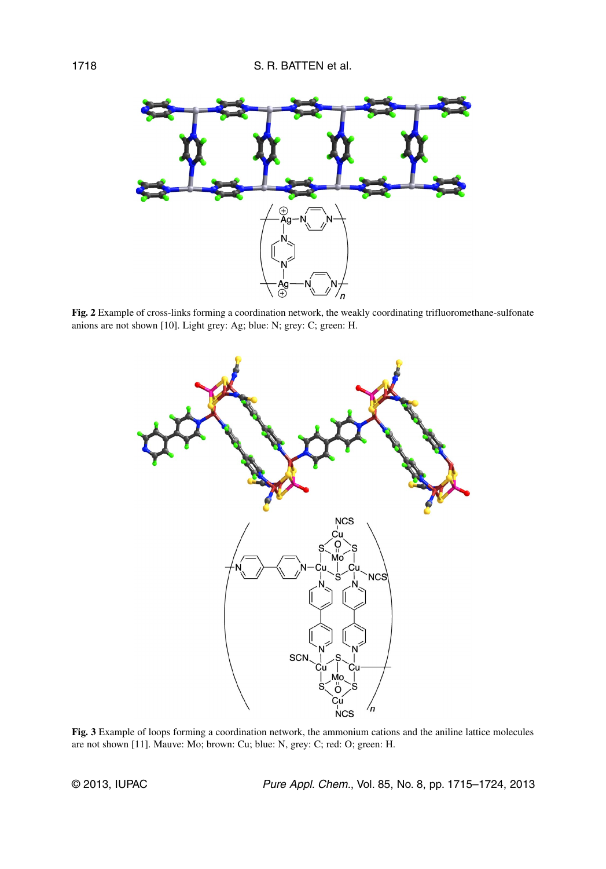

**Fig. 2** Example of cross-links forming a coordination network, the weakly coordinating trifluoromethane-sulfonate anions are not shown [10]. Light grey: Ag; blue: N; grey: C; green: H.



**Fig. 3** Example of loops forming a coordination network, the ammonium cations and the aniline lattice molecules are not shown [11]. Mauve: Mo; brown: Cu; blue: N, grey: C; red: O; green: H.

© 2013, IUPAC Pure Appl. Chem., Vol. 85, No. 8, pp. 1715–1724, 2013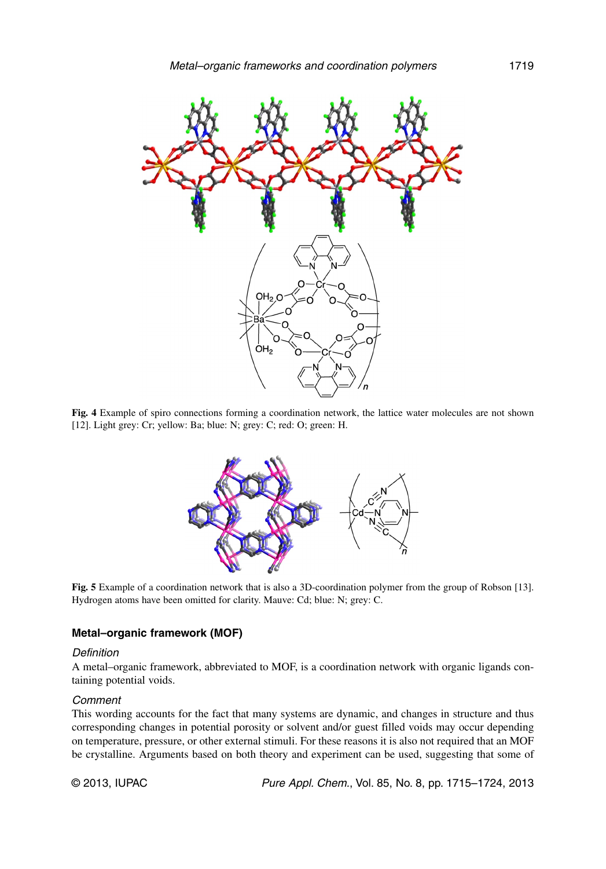

**Fig. 4** Example of spiro connections forming a coordination network, the lattice water molecules are not shown [12]. Light grey: Cr; yellow: Ba; blue: N; grey: C; red: O; green: H.



**Fig. 5** Example of a coordination network that is also a 3D-coordination polymer from the group of Robson [13]. Hydrogen atoms have been omitted for clarity. Mauve: Cd; blue: N; grey: C.

# **Metal–organic framework (MOF)**

#### **Definition**

A metal–organic framework, abbreviated to MOF, is a coordination network with organic ligands containing potential voids.

#### Comment

This wording accounts for the fact that many systems are dynamic, and changes in structure and thus corresponding changes in potential porosity or solvent and/or guest filled voids may occur depending on temperature, pressure, or other external stimuli. For these reasons it is also not required that an MOF be crystalline. Arguments based on both theory and experiment can be used, suggesting that some of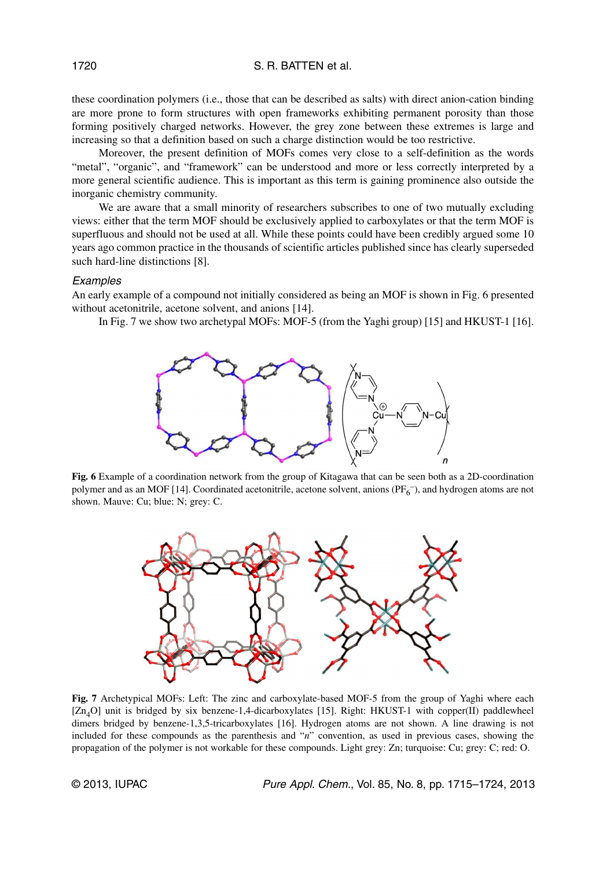these coordination polymers (i.e., those that can be described as salts) with direct anion-cation binding are more prone to form structures with open frameworks exhibiting permanent porosity than those forming positively charged networks. However, the grey zone between these extremes is large and increasing so that a definition based on such a charge distinction would be too restrictive.

Moreover, the present definition of MOFs comes very close to a self-definition as the words "metal", "organic", and "framework" can be understood and more or less correctly interpreted by a more general scientific audience. This is important as this term is gaining prominence also outside the inorganic chemistry community.

We are aware that a small minority of researchers subscribes to one of two mutually excluding views: either that the term MOF should be exclusively applied to carboxylates or that the term MOF is superfluous and should not be used at all. While these points could have been credibly argued some 10 years ago common practice in the thousands of scientific articles published since has clearly superseded such hard-line distinctions [8].

#### **Examples**

An early example of a compound not initially considered as being an MOF is shown in Fig. 6 presented without acetonitrile, acetone solvent, and anions [14].

In Fig. 7 we show two archetypal MOFs: MOF-5 (from the Yaghi group) [15] and HKUST-1 [16].



**Fig. 6** Example of a coordination network from the group of Kitagawa that can be seen both as a 2D-coordination polymer and as an MOF [14]. Coordinated acetonitrile, acetone solvent, anions  $(PF_6^-)$ , and hydrogen atoms are not shown. Mauve: Cu; blue: N; grey: C.



**Fig. 7** Archetypical MOFs: Left: The zinc and carboxylate-based MOF-5 from the group of Yaghi where each [Zn<sub>4</sub>O] unit is bridged by six benzene-1,4-dicarboxylates [15]. Right: HKUST-1 with copper(II) paddlewheel dimers bridged by benzene-1,3,5-tricarboxylates [16]. Hydrogen atoms are not shown. A line drawing is not included for these compounds as the parenthesis and "*n*" convention, as used in previous cases, showing the propagation of the polymer is not workable for these compounds. Light grey: Zn; turquoise: Cu; grey: C; red: O.

© 2013, IUPAC **Pure Appl. Chem., Vol. 85, No. 8, pp. 1715–1724**, 2013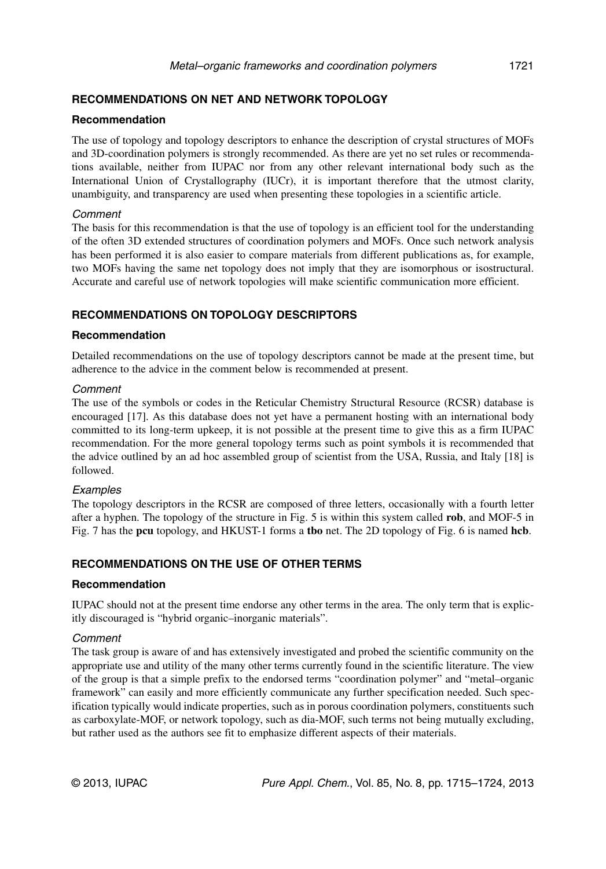# **RECOMMENDATIONS ON NET AND NETWORK TOPOLOGY**

#### **Recommendation**

The use of topology and topology descriptors to enhance the description of crystal structures of MOFs and 3D-coordination polymers is strongly recommended. As there are yet no set rules or recommendations available, neither from IUPAC nor from any other relevant international body such as the International Union of Crystallography (IUCr), it is important therefore that the utmost clarity, unambiguity, and transparency are used when presenting these topologies in a scientific article.

#### Comment

The basis for this recommendation is that the use of topology is an efficient tool for the understanding of the often 3D extended structures of coordination polymers and MOFs. Once such network analysis has been performed it is also easier to compare materials from different publications as, for example, two MOFs having the same net topology does not imply that they are isomorphous or isostructural. Accurate and careful use of network topologies will make scientific communication more efficient.

## **RECOMMENDATIONS ON TOPOLOGY DESCRIPTORS**

#### **Recommendation**

Detailed recommendations on the use of topology descriptors cannot be made at the present time, but adherence to the advice in the comment below is recommended at present.

#### Comment

The use of the symbols or codes in the Reticular Chemistry Structural Resource (RCSR) database is encouraged [17]. As this database does not yet have a permanent hosting with an international body committed to its long-term upkeep, it is not possible at the present time to give this as a firm IUPAC recommendation. For the more general topology terms such as point symbols it is recommended that the advice outlined by an ad hoc assembled group of scientist from the USA, Russia, and Italy [18] is followed.

#### **Examples**

The topology descriptors in the RCSR are composed of three letters, occasionally with a fourth letter after a hyphen. The topology of the structure in Fig. 5 is within this system called **rob**, and MOF-5 in Fig. 7 has the **pcu** topology, and HKUST-1 forms a **tbo** net. The 2D topology of Fig. 6 is named **hcb**.

# **RECOMMENDATIONS ON THE USE OF OTHER TERMS**

#### **Recommendation**

IUPAC should not at the present time endorse any other terms in the area. The only term that is explicitly discouraged is "hybrid organic–inorganic materials".

#### Comment

The task group is aware of and has extensively investigated and probed the scientific community on the appropriate use and utility of the many other terms currently found in the scientific literature. The view of the group is that a simple prefix to the endorsed terms "coordination polymer" and "metal–organic framework" can easily and more efficiently communicate any further specification needed. Such specification typically would indicate properties, such as in porous coordination polymers, constituents such as carboxylate-MOF, or network topology, such as dia-MOF, such terms not being mutually excluding, but rather used as the authors see fit to emphasize different aspects of their materials.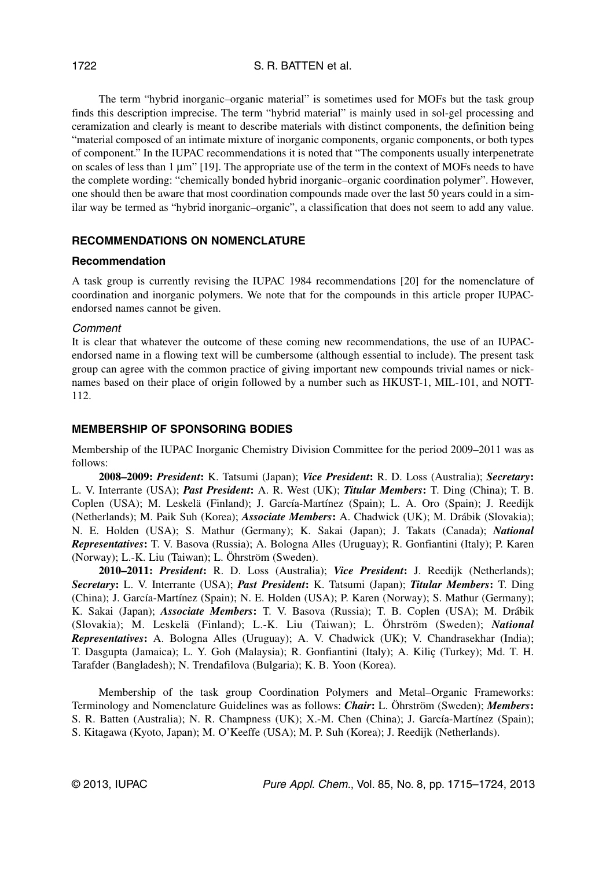#### S. R. BATTEN et al.

The term "hybrid inorganic–organic material" is sometimes used for MOFs but the task group finds this description imprecise. The term "hybrid material" is mainly used in sol-gel processing and ceramization and clearly is meant to describe materials with distinct components, the definition being "material composed of an intimate mixture of inorganic components, organic components, or both types of component." In the IUPAC recommendations it is noted that "The components usually interpenetrate on scales of less than 1 μm" [19]. The appropriate use of the term in the context of MOFs needs to have the complete wording: "chemically bonded hybrid inorganic–organic coordination polymer". However, one should then be aware that most coordination compounds made over the last 50 years could in a similar way be termed as "hybrid inorganic–organic", a classification that does not seem to add any value.

## **RECOMMENDATIONS ON NOMENCLATURE**

## **Recommendation**

A task group is currently revising the IUPAC 1984 recommendations [20] for the nomenclature of coordination and inorganic polymers. We note that for the compounds in this article proper IUPACendorsed names cannot be given.

#### Comment

It is clear that whatever the outcome of these coming new recommendations, the use of an IUPACendorsed name in a flowing text will be cumbersome (although essential to include). The present task group can agree with the common practice of giving important new compounds trivial names or nicknames based on their place of origin followed by a number such as HKUST-1, MIL-101, and NOTT-112.

# **MEMBERSHIP OF SPONSORING BODIES**

Membership of the IUPAC Inorganic Chemistry Division Committee for the period 2009–2011 was as follows:

**2008–2009:** *President***:** K. Tatsumi (Japan); *Vice President***:** R. D. Loss (Australia); *Secretary***:** L. V. Interrante (USA); *Past President***:** A. R. West (UK); *Titular Members***:** T. Ding (China); T. B. Coplen (USA); M. Leskelä (Finland); J. García-Martínez (Spain); L. A. Oro (Spain); J. Reedijk (Netherlands); M. Paik Suh (Korea); *Associate Members***:** A. Chadwick (UK); M. Drábik (Slovakia); N. E. Holden (USA); S. Mathur (Germany); K. Sakai (Japan); J. Takats (Canada); *National Representatives***:** T. V. Basova (Russia); A. Bologna Alles (Uruguay); R. Gonfiantini (Italy); P. Karen (Norway); L.-K. Liu (Taiwan); L. Öhrström (Sweden).

**2010–2011:** *President***:** R. D. Loss (Australia); *Vice President***:** J. Reedijk (Netherlands); *Secretary***:** L. V. Interrante (USA); *Past President***:** K. Tatsumi (Japan); *Titular Members***:** T. Ding (China); J. García-Martínez (Spain); N. E. Holden (USA); P. Karen (Norway); S. Mathur (Germany); K. Sakai (Japan); *Associate Members***:** T. V. Basova (Russia); T. B. Coplen (USA); M. Drábik (Slovakia); M. Leskelä (Finland); L.-K. Liu (Taiwan); L. Öhrström (Sweden); *National Representatives***:** A. Bologna Alles (Uruguay); A. V. Chadwick (UK); V. Chandrasekhar (India); T. Dasgupta (Jamaica); L. Y. Goh (Malaysia); R. Gonfiantini (Italy); A. Kiliç (Turkey); Md. T. H. Tarafder (Bangladesh); N. Trendafilova (Bulgaria); K. B. Yoon (Korea).

Membership of the task group Coordination Polymers and Metal–Organic Frameworks: Terminology and Nomenclature Guidelines was as follows: *Chair***:** L. Öhrström (Sweden); *Members***:** S. R. Batten (Australia); N. R. Champness (UK); X.-M. Chen (China); J. García-Martínez (Spain); S. Kitagawa (Kyoto, Japan); M. O'Keeffe (USA); M. P. Suh (Korea); J. Reedijk (Netherlands).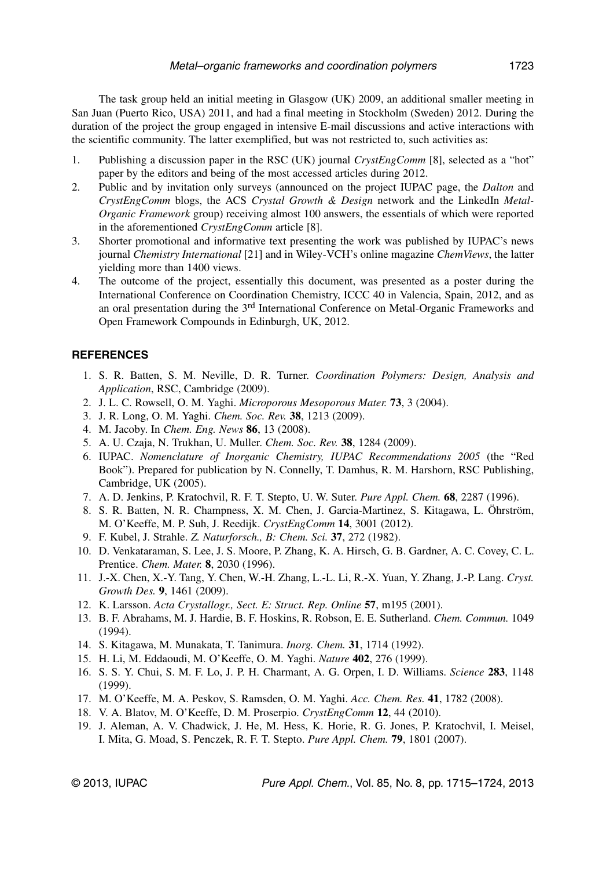The task group held an initial meeting in Glasgow (UK) 2009, an additional smaller meeting in San Juan (Puerto Rico, USA) 2011, and had a final meeting in Stockholm (Sweden) 2012. During the duration of the project the group engaged in intensive E-mail discussions and active interactions with the scientific community. The latter exemplified, but was not restricted to, such activities as:

- 1. Publishing a discussion paper in the RSC (UK) journal *CrystEngComm* [8], selected as a "hot" paper by the editors and being of the most accessed articles during 2012.
- 2. Public and by invitation only surveys (announced on the project IUPAC page, the *Dalton* and *CrystEngComm* blogs, the ACS *Crystal Growth & Design* network and the LinkedIn *Metal-Organic Framework* group) receiving almost 100 answers, the essentials of which were reported in the aforementioned *CrystEngComm* article [8].
- 3. Shorter promotional and informative text presenting the work was published by IUPAC's news journal *Chemistry International* [21] and in Wiley-VCH's online magazine *ChemViews*, the latter yielding more than 1400 views.
- 4. The outcome of the project, essentially this document, was presented as a poster during the International Conference on Coordination Chemistry, ICCC 40 in Valencia, Spain, 2012, and as an oral presentation during the 3<sup>rd</sup> International Conference on Metal-Organic Frameworks and Open Framework Compounds in Edinburgh, UK, 2012.

#### **REFERENCES**

- 1. S. R. Batten, S. M. Neville, D. R. Turner. *Coordination Polymers: Design, Analysis and Application*, RSC, Cambridge (2009).
- 2. J. L. C. Rowsell, O. M. Yaghi. *Microporous Mesoporous Mater.* **73**, 3 (2004).
- 3. J. R. Long, O. M. Yaghi. *Chem. Soc. Rev.* **38**, 1213 (2009).
- 4. M. Jacoby. In *Chem. Eng. News* **86**, 13 (2008).
- 5. A. U. Czaja, N. Trukhan, U. Muller. *Chem. Soc. Rev.* **38**, 1284 (2009).
- 6. IUPAC. *Nomenclature of Inorganic Chemistry, IUPAC Recommendations 2005* (the "Red Book"). Prepared for publication by N. Connelly, T. Damhus, R. M. Harshorn, RSC Publishing, Cambridge, UK (2005).
- 7. A. D. Jenkins, P. Kratochvil, R. F. T. Stepto, U. W. Suter. *Pure Appl. Chem.* **68**, 2287 (1996).
- 8. S. R. Batten, N. R. Champness, X. M. Chen, J. Garcia-Martinez, S. Kitagawa, L. Öhrström, M. O'Keeffe, M. P. Suh, J. Reedijk. *CrystEngComm* **14**, 3001 (2012).
- 9. F. Kubel, J. Strahle. *Z. Naturforsch., B: Chem. Sci.* **37**, 272 (1982).
- 10. D. Venkataraman, S. Lee, J. S. Moore, P. Zhang, K. A. Hirsch, G. B. Gardner, A. C. Covey, C. L. Prentice. *Chem. Mater.* **8**, 2030 (1996).
- 11. J.-X. Chen, X.-Y. Tang, Y. Chen, W.-H. Zhang, L.-L. Li, R.-X. Yuan, Y. Zhang, J.-P. Lang. *Cryst. Growth Des.* **9**, 1461 (2009).
- 12. K. Larsson. *Acta Crystallogr., Sect. E: Struct. Rep. Online* **57**, m195 (2001).
- 13. B. F. Abrahams, M. J. Hardie, B. F. Hoskins, R. Robson, E. E. Sutherland. *Chem. Commun.* 1049 (1994).
- 14. S. Kitagawa, M. Munakata, T. Tanimura. *Inorg. Chem.* **31**, 1714 (1992).
- 15. H. Li, M. Eddaoudi, M. O'Keeffe, O. M. Yaghi. *Nature* **402**, 276 (1999).
- 16. S. S. Y. Chui, S. M. F. Lo, J. P. H. Charmant, A. G. Orpen, I. D. Williams. *Science* **283**, 1148 (1999).
- 17. M. O'Keeffe, M. A. Peskov, S. Ramsden, O. M. Yaghi. *Acc. Chem. Res.* **41**, 1782 (2008).
- 18. V. A. Blatov, M. O'Keeffe, D. M. Proserpio. *CrystEngComm* **12**, 44 (2010).
- 19. J. Aleman, A. V. Chadwick, J. He, M. Hess, K. Horie, R. G. Jones, P. Kratochvil, I. Meisel, I. Mita, G. Moad, S. Penczek, R. F. T. Stepto. *Pure Appl. Chem.* **79**, 1801 (2007).

© 2013, IUPAC Pure Appl. Chem., Vol. 85, No. 8, pp. 1715–1724, 2013